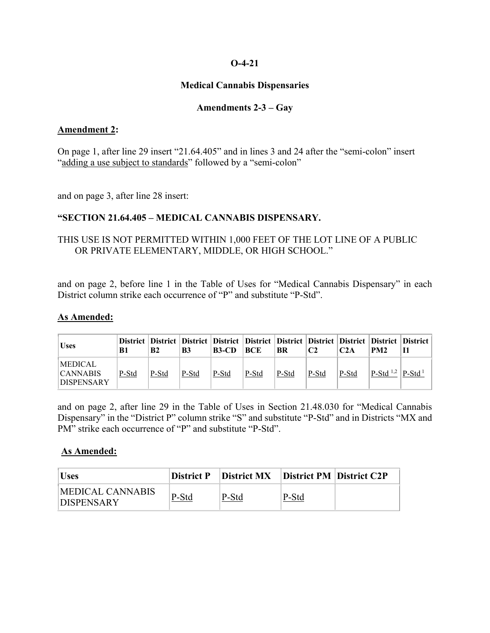## **O-4-21**

## **Medical Cannabis Dispensaries**

## **Amendments 2-3 – Gay**

### **Amendment 2:**

On page 1, after line 29 insert "21.64.405" and in lines 3 and 24 after the "semi-colon" insert "adding a use subject to standards" followed by a "semi-colon"

and on page 3, after line 28 insert:

# **"SECTION 21.64.405 – MEDICAL CANNABIS DISPENSARY.**

# THIS USE IS NOT PERMITTED WITHIN 1,000 FEET OF THE LOT LINE OF A PUBLIC OR PRIVATE ELEMENTARY, MIDDLE, OR HIGH SCHOOL."

and on page 2, before line 1 in the Table of Uses for "Medical Cannabis Dispensary" in each District column strike each occurrence of "P" and substitute "P-Std".

#### **As Amended:**

| <b>Uses</b>                                            | B1    | <b>B2</b> | B <sub>3</sub> | District District District District District District District District District District District<br>$B3-CD$ | <b>BCE</b> | BR    |       | C2A   | PM <sub>2</sub>                                  |                      |
|--------------------------------------------------------|-------|-----------|----------------|---------------------------------------------------------------------------------------------------------------|------------|-------|-------|-------|--------------------------------------------------|----------------------|
| <b>MEDICAL</b><br><b>CANNABIS</b><br><b>DISPENSARY</b> | P-Std | P-Std     | P-Std          | P-Std                                                                                                         | P-Std      | P-Std | P-Std | P-Std | <sup>1</sup> P-Std <sup>1,2</sup> <sup>1</sup> . | $\rm P\text{-}Std^1$ |

and on page 2, after line 29 in the Table of Uses in Section 21.48.030 for "Medical Cannabis Dispensary" in the "District P" column strike "S" and substitute "P-Std" and in Districts "MX and PM" strike each occurrence of "P" and substitute "P-Std".

#### **As Amended:**

| <b>Uses</b>                                   | <b>District P</b> | District MX | <b>District PM District C2P</b> |  |
|-----------------------------------------------|-------------------|-------------|---------------------------------|--|
| <b>IMEDICAL CANNABIS</b><br><b>DISPENSARY</b> | P-Std             | P-Std       | P-Std                           |  |